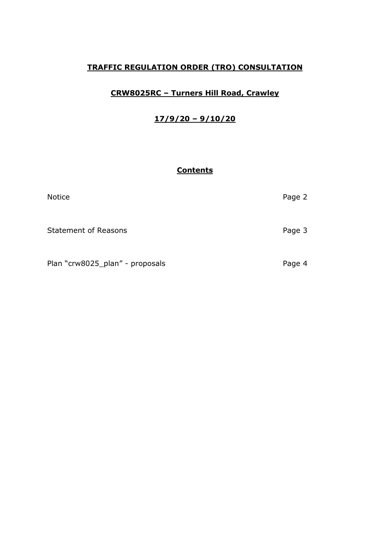# **TRAFFIC REGULATION ORDER (TRO) CONSULTATION**

# **CRW8025RC – Turners Hill Road, Crawley**

# **17/9/20 – 9/10/20**

## **Contents**

| <b>Notice</b>                   | Page 2 |
|---------------------------------|--------|
| <b>Statement of Reasons</b>     | Page 3 |
| Plan "crw8025_plan" - proposals | Page 4 |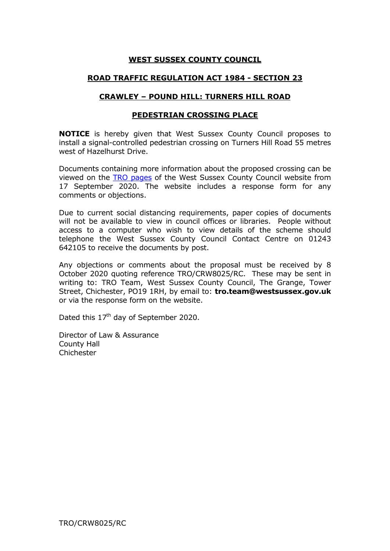## **WEST SUSSEX COUNTY COUNCIL**

### **ROAD TRAFFIC REGULATION ACT 1984 - SECTION 23**

#### **CRAWLEY – POUND HILL: TURNERS HILL ROAD**

#### **PEDESTRIAN CROSSING PLACE**

**NOTICE** is hereby given that West Sussex County Council proposes to install a signal-controlled pedestrian crossing on Turners Hill Road 55 metres west of Hazelhurst Drive.

Documents containing more information about the proposed crossing can be viewed on the [TRO pages](https://www.westsussex.gov.uk/roads-and-travel/traffic-regulation-orders/live-consultations-for-traffic-regulation-orders/crawley-live-tro-consultations/) of the West Sussex County Council website from 17 September 2020. The website includes a response form for any comments or objections.

Due to current social distancing requirements, paper copies of documents will not be available to view in council offices or libraries. People without access to a computer who wish to view details of the scheme should telephone the West Sussex County Council Contact Centre on 01243 642105 to receive the documents by post.

Any objections or comments about the proposal must be received by 8 October 2020 quoting reference TRO/CRW8025/RC. These may be sent in writing to: TRO Team, West Sussex County Council, The Grange, Tower Street, Chichester, PO19 1RH, by email to: **tro.team@westsussex.gov.uk** or via the response form on the website.

Dated this 17<sup>th</sup> day of September 2020.

Director of Law & Assurance County Hall Chichester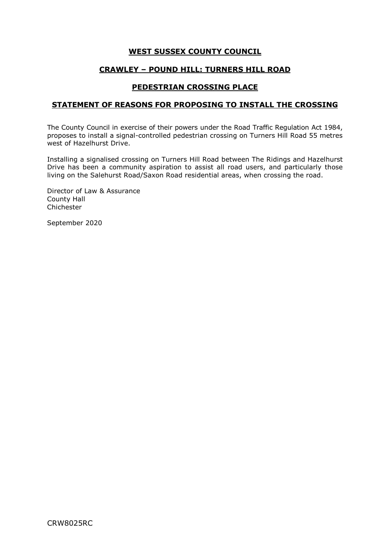### **WEST SUSSEX COUNTY COUNCIL**

#### **CRAWLEY – POUND HILL: TURNERS HILL ROAD**

#### **PEDESTRIAN CROSSING PLACE**

#### **STATEMENT OF REASONS FOR PROPOSING TO INSTALL THE CROSSING**

The County Council in exercise of their powers under the Road Traffic Regulation Act 1984, proposes to install a signal-controlled pedestrian crossing on Turners Hill Road 55 metres west of Hazelhurst Drive.

Installing a signalised crossing on Turners Hill Road between The Ridings and Hazelhurst Drive has been a community aspiration to assist all road users, and particularly those living on the Salehurst Road/Saxon Road residential areas, when crossing the road.

Director of Law & Assurance County Hall Chichester

September 2020